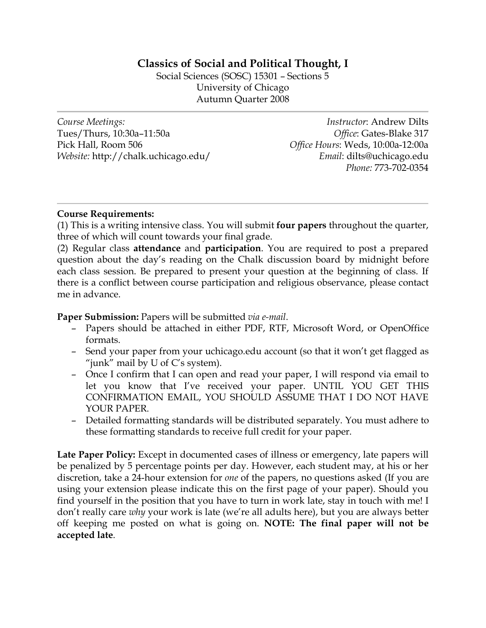# **Classics of Social and Political Thought, I**

Social Sciences (SOSC) 15301 – Sections 5 University of Chicago Autumn Quarter 2008

*Course Meetings:*  Tues/Thurs, 10:30a–11:50a Pick Hall, Room 506 *Website:* http://chalk.uchicago.edu/

*Instructor*: Andrew Dilts *Office*: Gates-Blake 317 *Office Hours*: Weds, 10:00a-12:00a *Email*: dilts@uchicago.edu *Phone:* 773-702-0354

## **Course Requirements:**

(1) This is a writing intensive class. You will submit **four papers** throughout the quarter, three of which will count towards your final grade.

(2) Regular class **attendance** and **participation**. You are required to post a prepared question about the day's reading on the Chalk discussion board by midnight before each class session. Be prepared to present your question at the beginning of class. If there is a conflict between course participation and religious observance, please contact me in advance.

**Paper Submission:** Papers will be submitted *via e-mail*.

- Papers should be attached in either PDF, RTF, Microsoft Word, or OpenOffice formats.
- Send your paper from your uchicago.edu account (so that it won't get flagged as "junk" mail by U of C's system).
- Once I confirm that I can open and read your paper, I will respond via email to let you know that I've received your paper. UNTIL YOU GET THIS CONFIRMATION EMAIL, YOU SHOULD ASSUME THAT I DO NOT HAVE YOUR PAPER.
- Detailed formatting standards will be distributed separately. You must adhere to these formatting standards to receive full credit for your paper.

**Late Paper Policy:** Except in documented cases of illness or emergency, late papers will be penalized by 5 percentage points per day. However, each student may, at his or her discretion, take a 24-hour extension for *one* of the papers, no questions asked (If you are using your extension please indicate this on the first page of your paper). Should you find yourself in the position that you have to turn in work late, stay in touch with me! I don't really care *why* your work is late (we're all adults here), but you are always better off keeping me posted on what is going on. **NOTE: The final paper will not be accepted late**.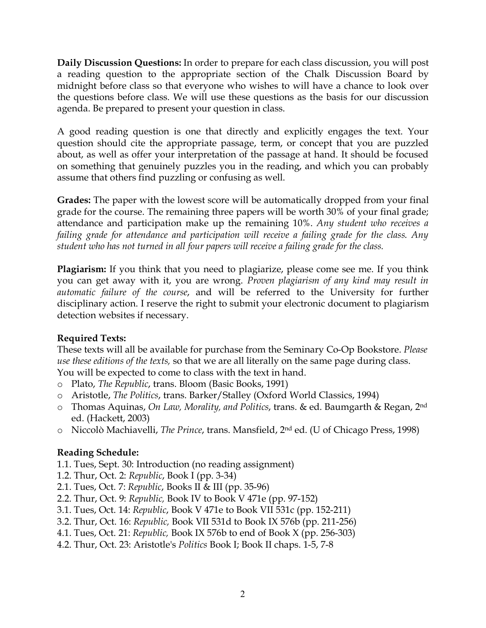**Daily Discussion Questions:** In order to prepare for each class discussion, you will post a reading question to the appropriate section of the Chalk Discussion Board by midnight before class so that everyone who wishes to will have a chance to look over the questions before class. We will use these questions as the basis for our discussion agenda. Be prepared to present your question in class.

A good reading question is one that directly and explicitly engages the text. Your question should cite the appropriate passage, term, or concept that you are puzzled about, as well as offer your interpretation of the passage at hand. It should be focused on something that genuinely puzzles you in the reading, and which you can probably assume that others find puzzling or confusing as well.

**Grades:** The paper with the lowest score will be automatically dropped from your final grade for the course. The remaining three papers will be worth 30% of your final grade; attendance and participation make up the remaining 10%. *Any student who receives a failing grade for attendance and participation will receive a failing grade for the class*. *Any student who has not turned in all four papers will receive a failing grade for the class.*

**Plagiarism:** If you think that you need to plagiarize, please come see me. If you think you can get away with it, you are wrong. *Proven plagiarism of any kind may result in automatic failure of the course*, and will be referred to the University for further disciplinary action. I reserve the right to submit your electronic document to plagiarism detection websites if necessary.

## **Required Texts:**

These texts will all be available for purchase from the Seminary Co-Op Bookstore. *Please use these editions of the texts,* so that we are all literally on the same page during class. You will be expected to come to class with the text in hand.

o Plato, *The Republic*, trans. Bloom (Basic Books, 1991)

- o Aristotle, *The Politics*, trans. Barker/Stalley (Oxford World Classics, 1994)
- o Thomas Aquinas, *On Law, Morality, and Politics*, trans. & ed. Baumgarth & Regan, 2nd ed. (Hackett, 2003)
- o Niccolò Machiavelli, *The Prince*, trans. Mansfield, 2nd ed. (U of Chicago Press, 1998)

## **Reading Schedule:**

1.1. Tues, Sept. 30: Introduction (no reading assignment)

- 1.2. Thur, Oct. 2: *Republic*, Book I (pp. 3-34)
- 2.1. Tues, Oct. 7: *Republic*, Books II & III (pp. 35-96)
- 2.2. Thur, Oct. 9: *Republic,* Book IV to Book V 471e (pp. 97-152)
- 3.1. Tues, Oct. 14: *Republic*, Book V 471e to Book VII 531c (pp. 152-211)
- 3.2. Thur, Oct. 16: *Republic,* Book VII 531d to Book IX 576b (pp. 211-256)
- 4.1. Tues, Oct. 21: *Republic,* Book IX 576b to end of Book X (pp. 256-303)
- 4.2. Thur, Oct. 23: Aristotle's *Politics* Book I; Book II chaps. 1-5, 7-8